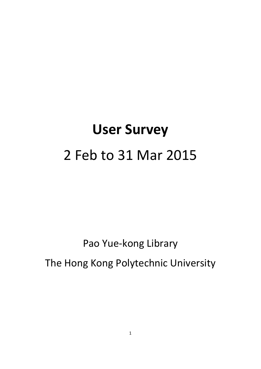# **User Survey** 2 Feb to 31 Mar 2015

Pao Yue‐kong Library

The Hong Kong Polytechnic University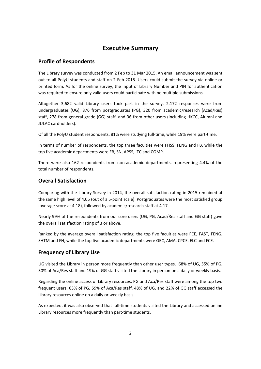# **Executive Summary**

# **Profile of Respondents**

 The Library survey was conducted from 2 Feb to 31 Mar 2015. An email announcement was sent out to all PolyU students and staff on 2 Feb 2015. Users could submit the survey via online or printed form. As for the online survey, the input of Library Number and PIN for authentication was required to ensure only valid users could participate with no multiple submissions.

 Altogether 3,682 valid Library users took part in the survey. 2,172 responses were from undergraduates (UG), 876 from postgraduates (PG), 320 from academic/research (Acad/Res) staff, 278 from general grade (GG) staff, and 36 from other users (including HKCC, Alumni and JULAC cardholders).

Of all the PolyU student respondents, 81% were studying full‐time, while 19% were part‐time.

 In terms of number of respondents, the top three faculties were FHSS, FENG and FB, while the top five academic departments were FB, SN, APSS, ITC and COMP.

 There were also 162 respondents from non‐academic departments, representing 4.4% of the total number of respondents.

# **Overall Satisfaction**

 Comparing with the Library Survey in 2014, the overall satisfaction rating in 2015 remained at the same high level of 4.05 (out of a 5‐point scale). Postgraduates were the most satisfied group (average score at 4.18), followed by academic/research staff at 4.17.

 Nearly 99% of the respondents from our core users (UG, PG, Acad/Res staff and GG staff) gave the overall satisfaction rating of 3 or above.

 Ranked by the average overall satisfaction rating, the top five faculties were FCE, FAST, FENG, SHTM and FH, while the top five academic departments were GEC, AMA, CPCE, ELC and FCE.

#### **Frequency of Library Use**

 UG visited the Library in person more frequently than other user types. 68% of UG, 55% of PG, 30% of Aca/Res staff and 19% of GG staff visited the Library in person on a daily or weekly basis.

 Regarding the online access of Library resources, PG and Aca/Res staff were among the top two frequent users. 63% of PG, 59% of Aca/Res staff, 48% of UG, and 22% of GG staff accessed the Library resources online on a daily or weekly basis.

 As expected, it was also observed that full‐time students visited the Library and accessed online Library resources more frequently than part‐time students.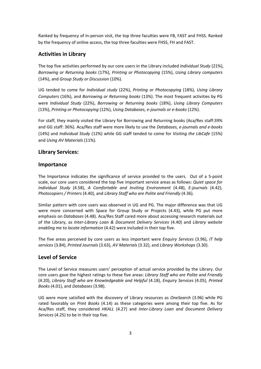Ranked by frequency of in‐person visit, the top three faculties were FB, FAST and FHSS. Ranked by the frequency of online access, the top three faculties were FHSS, FH and FAST.

## **Activities in Library**

  The top five activities performed by our core users in the Library included *Individual Study* (21%),  *Borrowing or Returning books* (17%), *Printing or Photocopying* (15%), *Using Library computers*  (14%), and *Group Study or Discussion* (10%).

  UG tended to come for *Individual study* (22%), *Printing or Photocopying* (18%), *Using Library Computers* (16%), and *Borrowing or Returning books* (13%). The most frequent activities by PG  were *Individual Study* (22%), *Borrowing or Returning books* (18%), *Using Library Computers*  (13%), *Printing or Photocopying* (12%), *Using Databases, e‐journals or e‐books* (12%).

 For staff, they mainly visited the Library for Borrowing and Returning books (Aca/Res staff:39%  and GG staff: 36%). Aca/Res staff were more likely to use the *Databases, e‐journals and e‐books*  (14%) and *Individual Study* (12%) while GG staff tended to come for *Visiting the LibCafe* (15%)  and *Using AV Materials* (11%).

#### **Library Services:**

#### **Importance**

 The Importance indicates the significance of service provided to the users. Out of a 5‐point  scale, our core users considered the top five important service areas as follows: *Quiet space for Individual Study* (4.58), *A Comfortable and Inviting Environment* (4.48), *E‐journals* (4.42),  *Photocopiers / Printers* (4.40), and *Library Staff who are Polite and Friendly* (4.36).

 Similar pattern with core users was observed in UG and PG. The major difference was that UG were more concerned with Space for Group Study or Projects (4.43), while PG put more emphasis on *Databases* (4.48). Aca/Res Staff cared more about accessing research materials out  of the Library, as *Inter‐Library Loan & Document Delivery Services* (4.40) and *Library website enabling me to locate information* (4.42) were included in their top five.

  The five areas perceived by core users as less important were *Enquiry Services* (3.96), *IT help services* (3.84), *Printed Journals* (3.63), *AV Materials* (3.32), and *Library Workshops* (3.30).

## **Level of Service**

 The Level of Service measures users' perception of actual service provided by the Library. Our  core users gave the highest ratings to these five areas: *Library Staff who are Polite and Friendly*  (4.20), *Library Staff who are Knowledgeable and Helpful* (4.18), *Enquiry Services* (4.05), *Printed Books* (4.01), and *Databases* (3.98).

 UG were more satisfied with the discovery of Library resources as *OneSearch* (3.96) while PG rated favorably on *Print Books* (4.14) as these categories were among their top five. As for  Aca/Res staff, they considered *HKALL* (4.27) and *Inter‐Library Loan and Document Delivery Services* (4.25) to be in their top five.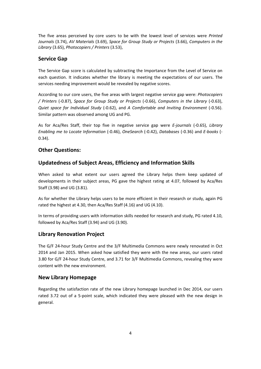The five areas perceived by core users to be with the lowest level of services were *Printed Journals* (3.74), *AV Materials* (3.69), *Space for Group Study or Projects* (3.66), *Computers in the Library* (3.65), *Photocopiers / Printers* (3.53),

#### **Service Gap**

 The Service Gap score is calculated by subtracting the Importance from the Level of Service on each question. It indicates whether the library is meeting the expectations of our users. The services needing improvement would be revealed by negative scores.

 According to our core users, the five areas with largest negative service gap were: *Photocopiers / Printers* (‐0.87), *Space for Group Study or Projects* (‐0.66), *Computers in the Library* (‐0.63),  *Quiet space for Individual Study* (‐0.62), and *A Comfortable and Inviting Environment* (‐0.56). Similar pattern was observed among UG and PG.

 As for Aca/Res Staff, their top five in negative service gap were *E‐journals* (‐0.65), *Library Enabling me to Locate Information* (‐0.46), *OneSearch* (‐0.42), *Databases* (‐0.36) and *E‐books* (‐ 0.34).

# **Other Questions:**

## **Updatedness of Subject Areas, Efficiency and Information Skills**

 When asked to what extent our users agreed the Library helps them keep updated of developments in their subject areas, PG gave the highest rating at 4.07, followed by Aca/Res Staff (3.98) and UG (3.81).

 As for whether the Library helps users to be more efficient in their research or study, again PG rated the highest at 4.30, then Aca/Res Staff (4.16) and UG (4.10).

 In terms of providing users with information skills needed for research and study, PG rated 4.10, followed by Aca/Res Staff (3.94) and UG (3.90).

#### **Library Renovation Project**

 The G/F 24‐hour Study Centre and the 3/F Multimedia Commons were newly renovated in Oct 2014 and Jan 2015. When asked how satisfied they were with the new areas, our users rated 3.80 for G/F 24‐hour Study Centre, and 3.71 for 3/F Multimedia Commons, revealing they were content with the new environment.

#### **New Library Homepage**

 Regarding the satisfaction rate of the new Library homepage launched in Dec 2014, our users rated 3.72 out of a 5‐point scale, which indicated they were pleased with the new design in general.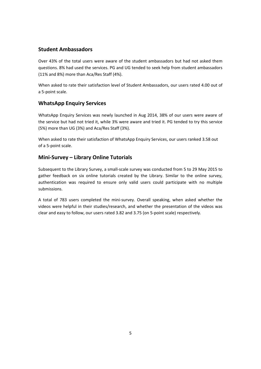#### **Student Ambassadors**

 Over 43% of the total users were aware of the student ambassadors but had not asked them questions. 8% had used the services. PG and UG tended to seek help from student ambassadors (11% and 8%) more than Aca/Res Staff (4%).

 When asked to rate their satisfaction level of Student Ambassadors, our users rated 4.00 out of a 5‐point scale.

#### **WhatsApp Enquiry Services**

 WhatsApp Enquiry Services was newly launched in Aug 2014, 38% of our users were aware of the service but had not tried it, while 3% were aware and tried it. PG tended to try this service (5%) more than UG (3%) and Aca/Res Staff (3%).

 When asked to rate their satisfaction of WhatsApp Enquiry Services, our users ranked 3.58 out of a 5‐point scale.

#### **Mini‐Survey – Library Online Tutorials**

 Subsequent to the Library Survey, a small‐scale survey was conducted from 5 to 29 May 2015 to gather feedback on six online tutorials created by the Library. Similar to the online survey, authentication was required to ensure only valid users could participate with no multiple submissions.

 A total of 783 users completed the mini‐survey. Overall speaking, when asked whether the videos were helpful in their studies/research, and whether the presentation of the videos was clear and easy to follow, our users rated 3.82 and 3.75 (on 5‐point scale) respectively.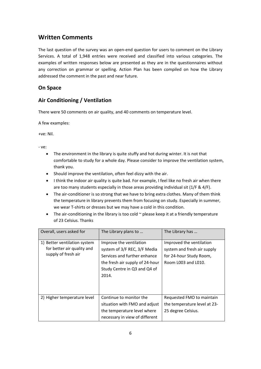# **Written Comments**

The last question of the survey was an open-end question for users to comment on the Library Services. A total of 1,948 entries were received and classified into various categories. The examples of written responses below are presented as they are in the questionnaires without any correction on grammar or spelling. Action Plan has been compiled on how the Library addressed the comment in the past and near future.

#### **On Space**

## **Air Conditioning / Ventilation**

There were 50 comments on air quality, and 40 comments on temperature level.

A few examples:

+ve: Nil.

- The environment in the library is quite stuffy and hot during winter. It is not that comfortable to study for a whole day. Please consider to improve the ventilation system, thank you.
- Should improve the ventilation, often feel dizzy with the air.
- I think the indoor air quality is quite bad. For example, I feel like no fresh air when there are too many students especially in those areas providing individual sit (1/F & 4/F).
- The air-conditioner is so strong that we have to bring extra clothes. Many of them think the temperature in library prevents them from focusing on study. Especially in summer, we wear T‐shirts or dresses but we may have a cold in this condition.
- The air-conditioning in the library is too cold ~ please keep it at a friendly temperature of 23 Celsius. Thanks

| Overall, users asked for                                                          | The Library plans to                                                                                                                                                | The Library has                                                                                           |
|-----------------------------------------------------------------------------------|---------------------------------------------------------------------------------------------------------------------------------------------------------------------|-----------------------------------------------------------------------------------------------------------|
| 1) Better ventilation system<br>for better air quality and<br>supply of fresh air | Improve the ventilation<br>system of 3/F REC, 3/F Media<br>Services and further enhance<br>the fresh air supply of 24-hour<br>Study Centre in Q3 and Q4 of<br>2014. | Improved the ventilation<br>system and fresh air supply<br>for 24-hour Study Room,<br>Room L003 and L010. |
| 2) Higher temperature level                                                       | Continue to monitor the<br>situation with FMO and adjust<br>the temperature level where<br>necessary in view of different                                           | Requested FMO to maintain<br>the temperature level at 23-<br>25 degree Celsius.                           |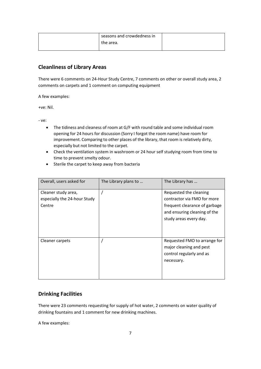| seasons and crowdedness in |  |
|----------------------------|--|
| the area.                  |  |
|                            |  |

# **Cleanliness of Library Areas**

 There were 6 comments on 24‐Hour Study Centre, 7 comments on other or overall study area, 2 comments on carpets and 1 comment on computing equipment

A few examples:

+ve: Nil.

‐ ve:

- The tidiness and cleaness of room at G/F with round table and some individual room opening for 24 hours for discussion (Sorry I forgot the room name) have room for improvement. Comparing to other places of the library, that room is relatively dirty, especially but not limited to the carpet.
- Check the ventilation system in washroom or 24 hour self studying room from time to time to prevent smelty odour.
- Sterile the carpet to keep away from bacteria

| Overall, users asked for                                      | The Library plans to | The Library has                                                                                                                                  |
|---------------------------------------------------------------|----------------------|--------------------------------------------------------------------------------------------------------------------------------------------------|
| Cleaner study area,<br>especially the 24-hour Study<br>Centre |                      | Requested the cleaning<br>contractor via FMO for more<br>frequent clearance of garbage<br>and ensuring cleaning of the<br>study areas every day. |
| Cleaner carpets                                               |                      | Requested FMO to arrange for<br>major cleaning and pest<br>control regularly and as<br>necessary.                                                |

## **Drinking Facilities**

 There were 23 comments requesting for supply of hot water, 2 comments on water quality of drinking fountains and 1 comment for new drinking machines.

A few examples: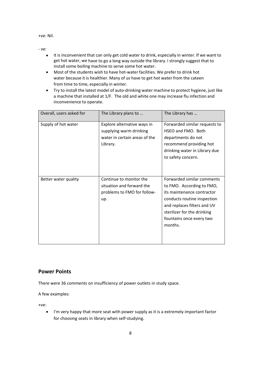+ve: Nil.

‐ ve:

- it is inconvenient that can only get cold water to drink, especially in winter. If we want to get hot water, we have to go a long way outside the library. i strongly suggest that to install some boiling machine to serve some hot water.
- Most of the students wish to have hot-water facilities. We prefer to drink hot water because it is healthier. Many of us have to get hot water from the cateen from time to time, especially in winter.
- Try to install the latest model of auto-drinking water machine to protect hygiene, just like a machine that installed at 1/F. The old and white one may increase flu infection and inconvenience to operate.

| Overall, users asked for | The Library plans to                                                                                | The Library has                                                                                                                                                                                                           |
|--------------------------|-----------------------------------------------------------------------------------------------------|---------------------------------------------------------------------------------------------------------------------------------------------------------------------------------------------------------------------------|
| Supply of hot water      | Explore alternative ways in<br>supplying warm drinking<br>water in certain areas of the<br>Library. | Forwarded similar requests to<br>HSEO and FMO. Both<br>departments do not<br>recommend providing hot<br>drinking water in Library due<br>to safety concern.                                                               |
| Better water quality     | Continue to monitor the<br>situation and forward the<br>problems to FMO for follow-<br>up.          | Forwarded similar comments<br>to FMO. According to FMO,<br>its maintenance contractor<br>conducts routine inspection<br>and replaces filters and UV<br>sterilizer for the drinking<br>fountains once every two<br>months. |

#### **Power Points**

There were 36 comments on insufficiency of power outlets in study space.

A few examples:

+ve:

 I'm very happy that more seat with power supply as it is a extremely important factor for choosing seats in library when self‐studying.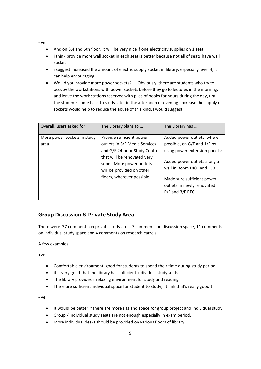‐ ve:

- And on 3,4 and 5th floor, it will be very nice if one electricity supplies on 1 seat.
- i think provide more wall socket in each seat is better because not all of seats have wall socket
- i suggest increased the amount of electric supply socket in library, especially level 4, it can help encouraging
- Would you provide more power sockets? … Obviously, there are students who try to occupy the workstations with power sockets before they go to lectures in the morning, and leave the work stations reserved with piles of books for hours during the day, until the students come back to study later in the afternoon or evening. Increase the supply of sockets would help to reduce the abuse of this kind, I would suggest.

| Overall, users asked for            | The Library plans to                                                                                                                                                                                            | The Library has                                                                                                                                                                                                                          |
|-------------------------------------|-----------------------------------------------------------------------------------------------------------------------------------------------------------------------------------------------------------------|------------------------------------------------------------------------------------------------------------------------------------------------------------------------------------------------------------------------------------------|
| More power sockets in study<br>area | Provide sufficient power<br>outlets in 3/F Media Services<br>and G/F 24-hour Study Centre<br>that will be renovated very<br>soon. More power outlets<br>will be provided on other<br>floors, wherever possible. | Added power outlets, where<br>possible, on G/F and 1/F by<br>using power extension panels;<br>Added power outlets along a<br>wall in Room L401 and L501;<br>Made sure sufficient power<br>outlets in newly renovated<br>P/F and 3/F REC. |

#### **Group Discussion & Private Study Area**

 There were 37 comments on private study area, 7 comments on discussion space, 11 comments on individual study space and 4 comments on research carrels.

A few examples:

+ve:

- Comfortable environment, good for students to spend their time during study period.
- it is very good that the library has sufficient individual study seats.
- The library provides a relaxing environment for study and reading
- There are sufficient individual space for student to study, I think that's really good !

- It would be better if there are more sits and space for group project and individual study.
- Group / individual study seats are not enough especially in exam period.
- More individual desks should be provided on various floors of library.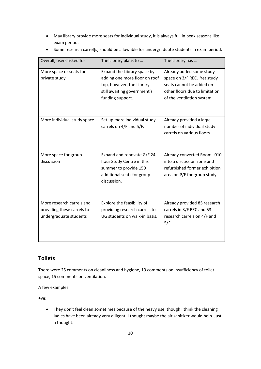May library provide more seats for individual study, it is always full in peak seasons like exam period.

| Overall, users asked for                                                          | The Library plans to                                                                                                                            | The Library has                                                                                                                                     |
|-----------------------------------------------------------------------------------|-------------------------------------------------------------------------------------------------------------------------------------------------|-----------------------------------------------------------------------------------------------------------------------------------------------------|
| More space or seats for<br>private study                                          | Expand the Library space by<br>adding one more floor on roof<br>top, however, the Library is<br>still awaiting government's<br>funding support. | Already added some study<br>space on 3/F REC. Yet study<br>seats cannot be added on<br>other floors due to limitation<br>of the ventilation system. |
| More individual study space                                                       | Set up more individual study<br>carrels on 4/F and 5/F.                                                                                         | Already provided a large<br>number of individual study<br>carrels on various floors.                                                                |
| More space for group<br>discussion                                                | Expand and renovate G/F 24-<br>hour Study Centre in this<br>summer to provide 150<br>additional seats for group<br>discussion.                  | Already converted Room L010<br>into a discussion zone and<br>refurbished former exhibition<br>area on P/F for group study.                          |
| More research carrels and<br>providing these carrels to<br>undergraduate students | Explore the feasibility of<br>providing research carrels to<br>UG students on walk-in basis.                                                    | Already provided 85 research<br>carrels in 3/F REC and 53<br>research carrels on 4/F and<br>5/F.                                                    |

• Some research carrel[s] should be allowable for undergraduate students in exam period.

## **Toilets**

 There were 25 comments on cleanliness and hygiene, 19 comments on insufficiency of toilet space, 15 comments on ventilation.

A few examples:

+ve:

 They don't feel clean sometimes because of the heavy use, though I think the cleaning ladies have been already very diligent. I thought maybe the air sanitizer would help. Just a thought.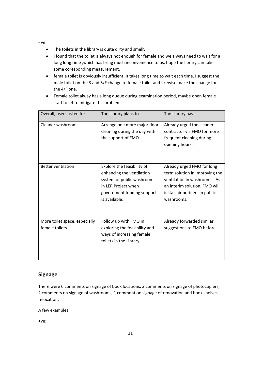‐ ve:

- The toilets in the library is quite dirty and smelly.
- i found that the toilet is always not enough for female and we always need to wait for a long long time ,which has bring much inconvenience to us, hope the library can take some coresponding measurement.
- female toilet is obviously insufficient. It takes long time to wait each time. I suggest the male toilet on the 3 and 5/F change to female toilet and likewise make the change for the 4/F one.
- Female toilet alway has a long queue during examination period, maybe open female staff toilet to mitigate this problem

| Overall, users asked for                        | The Library plans to                                                                                                                                        | The Library has                                                                                                                                                                |
|-------------------------------------------------|-------------------------------------------------------------------------------------------------------------------------------------------------------------|--------------------------------------------------------------------------------------------------------------------------------------------------------------------------------|
| Cleaner washrooms                               | Arrange one more major floor<br>cleaning during the day with<br>the support of FMO.                                                                         | Already urged the cleaner<br>contractor via FMO for more<br>frequent cleaning during<br>opening hours.                                                                         |
| <b>Better ventilation</b>                       | Explore the feasibility of<br>enhancing the ventilation<br>system of public washrooms<br>in LER Project when<br>government funding support<br>is available. | Already urged FMO for long<br>term solution in improving the<br>ventilation in washrooms. As<br>an interim solution, FMO will<br>install air purifiers in public<br>washrooms. |
| More toilet space, especially<br>female toilets | Follow up with FMO in<br>exploring the feasibility and<br>ways of increasing female<br>toilets in the Library.                                              | Already forwarded similar<br>suggestions to FMO before.                                                                                                                        |

#### **Signage**

 There were 6 comments on signage of book locations, 3 comments on signage of photocopiers, 2 comments on signage of washrooms, 1 comment on signage of renovation and book shelves relocation.

A few examples:

+ve: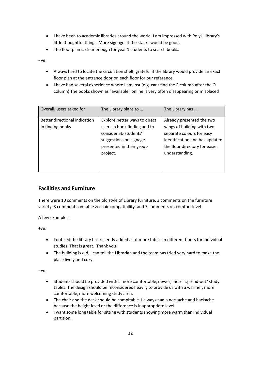- I have been to academic libraries around the world. I am impressed with PolyU library's little thoughtful things. More signage at the stacks would be good.
- The floor plan is clear enough for year 1 students to search books.

‐ ve:

- Always hard to locate the circulation shelf, grateful if the library would provide an exact floor plan at the entrance door on each floor for our reference.
- I have had several experience where I am lost (e.g. cant find the P column after the O column) The books shown as "available" online is very often disappearing or misplaced

| Overall, users asked for      | The Library plans to          | The Library has                |
|-------------------------------|-------------------------------|--------------------------------|
| Better directional indication | Explore better ways to direct | Already presented the two      |
| in finding books              | users in book finding and to  | wings of building with two     |
|                               | consider SD students'         | separate colours for easy      |
|                               | suggestions on signage        | identification and has updated |
|                               | presented in their group      | the floor directory for easier |
|                               | project.                      | understanding.                 |
|                               |                               |                                |
|                               |                               |                                |

# **Facilities and Furniture**

 There were 10 comments on the old style of Library furniture, 3 comments on the furniture variety, 3 comments on table & chair compatibility, and 3 comments on comfort level.

A few examples:

+ve:

- I noticed the library has recently added a lot more tables in different floors for individual studies. That is great. Thank you!
- The building is old, I can tell the Librarian and the team has tried very hard to make the place lively and cozy.

- Students should be provided with a more comfortable, newer, more "spread-out" study tables. The design should be reconsidered heavily to provide us with a warmer, more comfortable, more welcoming study area.
- The chair and the desk should be compitable. I always had a neckache and backache because the height level or the difference is inappropriate level.
- i want some long table for sitting with students showing more warm than individual partition.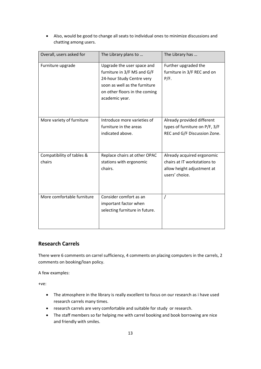| Overall, users asked for            | The Library plans to                                                                                                                                                       | The Library has                                                                                            |
|-------------------------------------|----------------------------------------------------------------------------------------------------------------------------------------------------------------------------|------------------------------------------------------------------------------------------------------------|
| Furniture upgrade                   | Upgrade the user space and<br>furniture in 3/F MS and G/F<br>24-hour Study Centre very<br>soon as well as the furniture<br>on other floors in the coming<br>academic year. | Further upgraded the<br>furniture in 3/F REC and on<br>P/F.                                                |
| More variety of furniture           | Introduce more varieties of<br>furniture in the areas<br>indicated above.                                                                                                  | Already provided different<br>types of furniture on P/F, 3/F<br>REC and G/F Discussion Zone.               |
| Compatibility of tables &<br>chairs | Replace chairs at other OPAC<br>stations with ergonomic<br>chairs.                                                                                                         | Already acquired ergonomic<br>chairs at IT workstations to<br>allow height adjustment at<br>users' choice. |
| More comfortable furniture          | Consider comfort as an<br>important factor when<br>selecting furniture in future.                                                                                          | $\prime$                                                                                                   |

 Also, would be good to change all seats to individual ones to minimize discussions and chatting among users.

#### **Research Carrels**

 There were 6 comments on carrel sufficiency, 4 comments on placing computers in the carrels, 2 comments on booking/loan policy.

A few examples:

+ve:

- The atmosphere in the library is really excellent to focus on our research as i have used research carrels many times.
- research carrels are very comfortable and suitable for study or research.
- The staff members so far helping me with carrel booking and book borrowing are nice and friendly with smiles.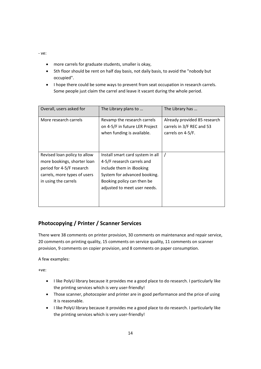‐ ve:

- more carrels for graduate students, smaller is okay,
- 5th floor should be rent on half day basis, not daily basis, to avoid the "nobody but occupied".
- I hope there could be some ways to prevent from seat occupation in research carrels. Some people just claim the carrel and leave it vacant during the whole period.

| Overall, users asked for                                                                                                                         | The Library plans to                                                                                                                                                                     | The Library has                                                                |
|--------------------------------------------------------------------------------------------------------------------------------------------------|------------------------------------------------------------------------------------------------------------------------------------------------------------------------------------------|--------------------------------------------------------------------------------|
| More research carrels                                                                                                                            | Revamp the research carrels<br>on 4-5/F in future LER Project<br>when funding is available.                                                                                              | Already provided 85 research<br>carrels in 3/F REC and 53<br>carrels on 4-5/F. |
| Revised loan policy to allow<br>more bookings, shorter loan<br>period for 4-5/F research<br>carrels, more types of users<br>in using the carrels | Install smart card system in all<br>4-5/F research carrels and<br>include them in iBooking<br>System for advanced booking.<br>Booking policy can then be<br>adjusted to meet user needs. |                                                                                |

# **Photocopying / Printer / Scanner Services**

 There were 38 comments on printer provision, 30 comments on maintenance and repair service, 20 comments on printing quality, 15 comments on service quality, 11 comments on scanner provision, 9 comments on copier provision, and 8 comments on paper consumption.

A few examples:

+ve:

- I like PolyU library because it provides me a good place to do research. I particularly like the printing services which is very user‐friendly!
- Those scanner, photocopier and printer are in good performance and the price of using it is reasonable.
- I like PolyU library because it provides me a good place to do research. I particularly like the printing services which is very user‐friendly!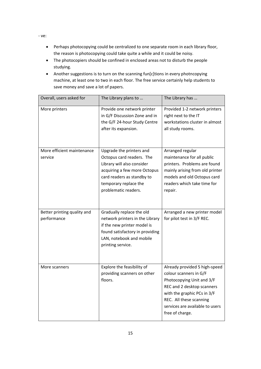- Perhaps photocopying could be centralized to one separate room in each library floor, the reason is photocopying could take quite a while and it could be noisy.
- The photocopiers should be confined in enclosed areas not to disturb the people studying.
- Another suggestions is to turn on the scanning fun[c]tions in every photncopying machine, at least one to two in each floor. The free service certainly help students to save money and save a lot of papers.

| Overall, users asked for                   | The Library plans to                                                                                                                                                                               | The Library has                                                                                                                                                                                                                    |
|--------------------------------------------|----------------------------------------------------------------------------------------------------------------------------------------------------------------------------------------------------|------------------------------------------------------------------------------------------------------------------------------------------------------------------------------------------------------------------------------------|
| More printers                              | Provide one network printer<br>in G/F Discussion Zone and in<br>the G/F 24-hour Study Centre<br>after its expansion.                                                                               | Provided 1-2 network printers<br>right next to the IT<br>workstations cluster in almost<br>all study rooms.                                                                                                                        |
| More efficient maintenance<br>service      | Upgrade the printers and<br>Octopus card readers. The<br>Library will also consider<br>acquiring a few more Octopus<br>card readers as standby to<br>temporary replace the<br>problematic readers. | Arranged regular<br>maintenance for all public<br>printers. Problems are found<br>mainly arising from old printer<br>models and old Octopus card<br>readers which take time for<br>repair.                                         |
| Better printing quality and<br>performance | Gradually replace the old<br>network printers in the Library<br>if the new printer model is<br>found satisfactory in providing<br>LAN, notebook and mobile<br>printing service.                    | Arranged a new printer model<br>for pilot test in 3/F REC.                                                                                                                                                                         |
| More scanners                              | Explore the feasibility of<br>providing scanners on other<br>floors.                                                                                                                               | Already provided 5 high-speed<br>colour scanners in G/F<br>Photocopying Unit and 3/F<br>REC and 2 desktop scanners<br>with the graphic PCs in 3/F<br>REC. All these scanning<br>services are available to users<br>free of charge. |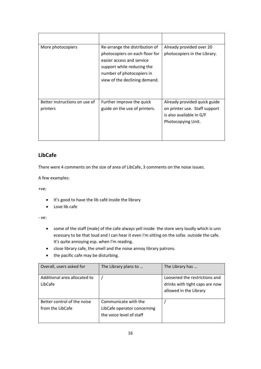| More photocopiers                         | Re-arrange the distribution of<br>photocopiers on each floor for<br>easier access and service<br>support while reducing the<br>number of photocopiers in<br>view of the declining demand. | Already provided over 20<br>photocopiers in the Library.                                                        |
|-------------------------------------------|-------------------------------------------------------------------------------------------------------------------------------------------------------------------------------------------|-----------------------------------------------------------------------------------------------------------------|
| Better instructions on use of<br>printers | Further improve the quick<br>guide on the use of printers.                                                                                                                                | Already provided quick guide<br>on printer use. Staff support<br>is also available in G/F<br>Photocopying Unit. |

#### **LibCafe**

There were 4 comments on the size of area of LibCafe, 3 comments on the noise issues.

A few examples:

+ve:

- It's good to have the lib café inside the library
- Love lib cafe

- some of the staff (male) of the cafe always yell inside the store very loudly which is unn ecessary to be that loud and I can hear it even I'm sitting on the sofas outside the cafe. It's quite annoying esp. when I'm reading.
- close library cafe, the smell and the noise annoy library patrons.
- the pacific cafe may be disturbing.

| Overall, users asked for     | The Library plans to        | The Library has                |
|------------------------------|-----------------------------|--------------------------------|
| Additional area allocated to |                             | Loosened the restrictions and  |
| LibCafe                      |                             | drinks with tight caps are now |
|                              |                             | allowed in the Library         |
|                              |                             |                                |
| Better control of the noise  | Communicate with the        |                                |
| from the LibCafe             | LibCafe operator concerning |                                |
|                              | the voice level of staff    |                                |
|                              |                             |                                |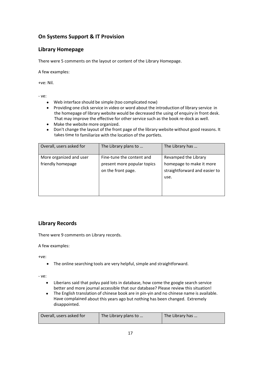# **On Systems Support & IT Provision**

## **Library Homepage**

There were 5 comments on the layout or content of the Library Homepage.

A few examples:

+ve: Nil.

‐ ve:

- Web interface should be simple (too complicated now)
- Providing one click service in video or word about the introduction of library service in the homepage of library website would be decreased the using of enquiry in front desk. That may improve the effective for other service such as the book re‐dock as well.
- Make the website more organized.
- Don't change the layout of the front page of the library website without good reasons. It takes time to familiarize with the location of the portlets.

| Overall, users asked for                     | The Library plans to                                                           | The Library has                                                                           |
|----------------------------------------------|--------------------------------------------------------------------------------|-------------------------------------------------------------------------------------------|
| More organized and user<br>friendly homepage | Fine-tune the content and<br>present more popular topics<br>on the front page. | Revamped the Library<br>homepage to make it more<br>straightforward and easier to<br>use. |

# **Library Records**

There were 9 comments on Library records.

A few examples:

+ve:

The online searching tools are very helpful, simple and straightforward.

- Liberians said that polyu paid lots in database, how come the google search service better and more journal accessible that our database? Please review this situation!
- The English translation of chinese book are in pin-yin and no chinese name is available. Have complained about this years ago but nothing has been changed. Extremely disappointed.

| Overall, users asked for | The Library plans to | The Library has |
|--------------------------|----------------------|-----------------|
|                          |                      |                 |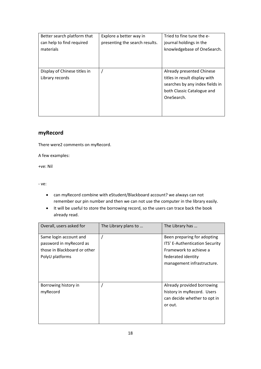| Better search platform that<br>can help to find required<br>materials | Explore a better way in<br>presenting the search results. | Tried to fine tune the e-<br>journal holdings in the<br>knowledgebase of OneSearch.                                                       |
|-----------------------------------------------------------------------|-----------------------------------------------------------|-------------------------------------------------------------------------------------------------------------------------------------------|
| Display of Chinese titles in<br>Library records                       |                                                           | Already presented Chinese<br>titles in result display with<br>searches by any index fields in<br>both Classic Catalogue and<br>OneSearch. |

#### **myRecord**

There were2 comments on myRecord.

A few examples:

+ve: Nil

- can myRecord combine with eStudent/Blackboard account? we always can not remember our pin number and then we can not use the computer in the library easily.
- It will be useful to store the borrowing record, so the users can trace back the book already read.

| Overall, users asked for                                                                             | The Library plans to | The Library has                                                                                                                             |
|------------------------------------------------------------------------------------------------------|----------------------|---------------------------------------------------------------------------------------------------------------------------------------------|
| Same login account and<br>password in myRecord as<br>those in Blackboard or other<br>PolyU platforms |                      | Been preparing for adopting<br>ITS' E-Authentication Security<br>Framework to achieve a<br>federated identity<br>management infrastructure. |
| Borrowing history in<br>myRecord                                                                     |                      | Already provided borrowing<br>history in myRecord. Users<br>can decide whether to opt in<br>or out.                                         |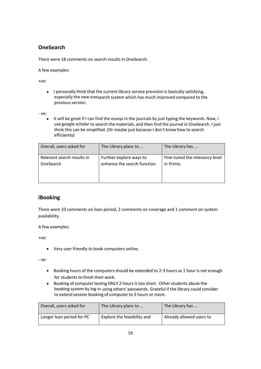# **OneSearch**

There were 18 comments on search results in OneSearch.

A few examples:

+ve:

• I personally think that the current library service provision is basically satisfying, especially the new onesearch system which has much improved compared to the previous version.

‐ ve:

• It will be great if I can find the essays in the journals by just typing the keywords. Now, I use google scholar to search the materials, and then find the journal in OneSearch. I just think this can be simplified. (Or maybe just because I don't know how to search efficiently)

| Overall, users asked for   | The Library plans to         | The Library has                |
|----------------------------|------------------------------|--------------------------------|
| Relevant search results in | Further explore ways to      | Fine-tuned the relevancy level |
| OneSearch                  | enhance the search function. | in Primo.                      |

#### **iBooking**

 There were 10 comments on loan period, 2 comments on coverage and 1 comment on system availability.

A few examples:

+ve:

 Very user friendly to book computers online.

- Booking hours of the computers should be extended to 2-3 hours as 1 hour is not enough for students to finish their work.
- Booking of computer lasting ONLY 2 hours is too short. Other students abuse the booking system by log‐in using others' passwords. Grateful if the library could consider to extend session booking of computer to 3 hours or more.

| Overall, users asked for  | The Library plans to        | The Library has          |
|---------------------------|-----------------------------|--------------------------|
| Longer loan period for PC | Explore the feasibility and | Already allowed users to |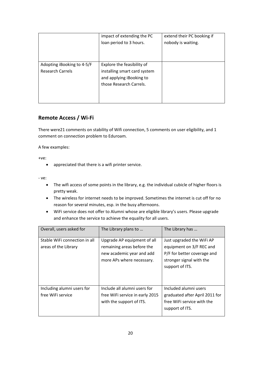|                                                       | impact of extending the PC<br>loan period to 3 hours.                                                             | extend their PC booking if<br>nobody is waiting. |
|-------------------------------------------------------|-------------------------------------------------------------------------------------------------------------------|--------------------------------------------------|
| Adopting iBooking to 4-5/F<br><b>Research Carrels</b> | Explore the feasibility of<br>installing smart card system<br>and applying iBooking to<br>those Research Carrels. |                                                  |

## **Remote Access / Wi‐Fi**

 There were21 comments on stability of Wifi connection, 5 comments on user eligibility, and 1 comment on connection problem to Eduroam.

A few examples:

+ve:

appreciated that there is a wifi printer service.

- The wifi access of some points in the library, e.g. the individual cubicle of higher floors is pretty weak.
- The wireless for internet needs to be improved. Sometimes the internet is cut off for no reason for several minutes, esp. in the busy afternoons.
- WiFi service does not offer to Alumni whose are eligible library's users. Please upgrade and enhance the service to achieve the equality for all users.

| Overall, users asked for                              | The Library plans to                                                                                                | The Library has                                                                                                                     |
|-------------------------------------------------------|---------------------------------------------------------------------------------------------------------------------|-------------------------------------------------------------------------------------------------------------------------------------|
| Stable WiFi connection in all<br>areas of the Library | Upgrade AP equipment of all<br>remaining areas before the<br>new academic year and add<br>more APs where necessary. | Just upgraded the WiFi AP<br>equipment on 3/F REC and<br>P/F for better coverage and<br>stronger signal with the<br>support of ITS. |
| Including alumni users for<br>free WiFi service       | Include all alumni users for<br>free WiFi service in early 2015<br>with the support of ITS.                         | Included alumni users<br>graduated after April 2011 for<br>free WiFi service with the<br>support of ITS.                            |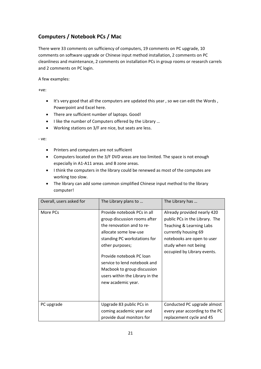# **Computers / Notebook PCs / Mac**

 There were 33 comments on sufficiency of computers, 19 comments on PC upgrade, 10 comments on software upgrade or Chinese input method installation, 2 comments on PC cleanliness and maintenance, 2 comments on installation PCs in group rooms or research carrels and 2 comments on PC login.

A few examples:

+ve:

- It's very good that all the computers are updated this year, so we can edit the Words, Powerpoint and Excel here.
- There are sufficient number of laptops. Good!
- I like the number of Computers offered by the Library ...
- Working stations on 3/F are nice, but seats are less.

- Printers and computers are not sufficient
- Computers located on the 3/F DVD areas are too limited. The space is not enough especially in A1‐A11 areas. and B zone areas.
- I think the computers in the library could be renewed as most of the computes are working too slow.
- The library can add some common simplified Chinese input method to the library computer!

| Overall, users asked for | The Library plans to                                                                                                                                                                                                                                                                                                     | The Library has                                                                                                                                                                                        |
|--------------------------|--------------------------------------------------------------------------------------------------------------------------------------------------------------------------------------------------------------------------------------------------------------------------------------------------------------------------|--------------------------------------------------------------------------------------------------------------------------------------------------------------------------------------------------------|
| More PCs                 | Provide notebook PCs in all<br>group discussion rooms after<br>the renovation and to re-<br>allocate some low-use<br>standing PC workstations for<br>other purposes;<br>Provide notebook PC loan<br>service to lend notebook and<br>Macbook to group discussion<br>users within the Library in the<br>new academic year. | Already provided nearly 420<br>public PCs in the Library. The<br>Teaching & Learning Labs<br>currently housing 69<br>notebooks are open to user<br>study when not being<br>occupied by Library events. |
| PC upgrade               | Upgrade 83 public PCs in<br>coming academic year and<br>provide dual monitors for                                                                                                                                                                                                                                        | Conducted PC upgrade almost<br>every year according to the PC<br>replacement cycle and 45                                                                                                              |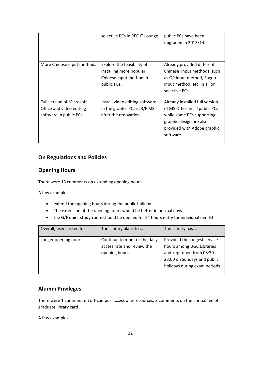|                                                                                        | selective PCs in REC IT Lounge.                                                                 | public PCs have been<br>upgraded in 2013/14.                                                                                                                         |
|----------------------------------------------------------------------------------------|-------------------------------------------------------------------------------------------------|----------------------------------------------------------------------------------------------------------------------------------------------------------------------|
| More Chinese input methods                                                             | Explore the feasibility of<br>installing more popular<br>Chinese input method in<br>public PCs. | Already provided different<br>Chinese input methods, such<br>as Q9 input method, Sogou<br>input method, etc. in all or<br>selective PCs.                             |
| <b>Full version of Microsoft</b><br>Office and video editing<br>software in public PCs | Install video editing software<br>in the graphic PCs in 3/F MS<br>after the renovation.         | Already installed full version<br>of MS Office in all public PCs<br>while some PCs supporting<br>graphic design are also<br>provided with Adobe graphic<br>software. |

## **On Regulations and Policies**

#### **Opening Hours**

There were 13 comments on extending opening hours.

A few examples:

- extend the opening hours during the public holiday
- The extension of the opening hours would be better in normal days.
- the G/F quiet study‐room should be opened for 24 hours entry for individual needs!

| Overall, users asked for | The Library plans to                                                          | The Library has                                                                        |
|--------------------------|-------------------------------------------------------------------------------|----------------------------------------------------------------------------------------|
| Longer opening hours     | Continue to monitor the daily<br>access rate and review the<br>opening hours. | Provided the longest service<br>hours among UGC Libraries<br>and kept open from 08:30- |
|                          |                                                                               | 23:00 on Sundays and public<br>holidays during exam periods.                           |

#### **Alumni Privileges**

 There were 1 comment on off‐campus access of e‐resources, 2 comments on the annual fee of graduate library card.

A few examples: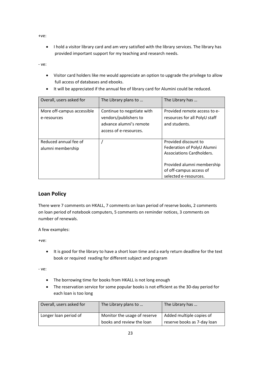+ve:

 I hold a visitor library card and am very satisfied with the library services. The library has provided important support for my teaching and research needs.

‐ ve:

 Visitor card holders like me would appreciate an option to upgrade the privilege to allow full access of databases and ebooks.

| Overall, users asked for   | The Library plans to       | The Library has               |
|----------------------------|----------------------------|-------------------------------|
|                            |                            |                               |
|                            |                            |                               |
| More off-campus accessible | Continue to negotiate with | Provided remote access to e-  |
| e-resources                | vendors/publishers to      | resources for all PolyU staff |
|                            | advance alumni's remote    | and students.                 |
|                            | access of e-resources.     |                               |
|                            |                            |                               |
| Reduced annual fee of      |                            | Provided discount to          |
| alumni membership          |                            | Federation of PolyU Alumni    |
|                            |                            | Associations Cardholders.     |
|                            |                            |                               |
|                            |                            | Provided alumni membership    |
|                            |                            | of off-campus access of       |
|                            |                            | selected e-resources.         |

It will be appreciated if the annual fee of library card for Alumini could be reduced.

#### **Loan Policy**

 There were 7 comments on HKALL, 7 comments on loan period of reserve books, 2 comments on loan period of notebook computers, 5 comments on reminder notices, 3 comments on number of renewals.

A few examples:

+ve:

 It is good for the library to have a short loan time and a early return deadline for the text book or required reading for different subject and program

- The borrowing time for books from HKALL is not long enough
- The reservation service for some popular books is not efficient as the 30‐day period for each loan is too long

| Overall, users asked for | The Library plans to                                      | The Library has                                         |
|--------------------------|-----------------------------------------------------------|---------------------------------------------------------|
| Longer loan period of    | Monitor the usage of reserve<br>books and review the loan | Added multiple copies of<br>reserve books as 7-day loan |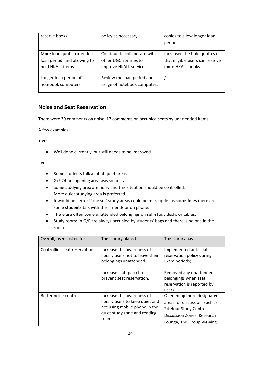| reserve books                | policy as necessary.         | copies to allow longer loan     |
|------------------------------|------------------------------|---------------------------------|
|                              |                              | period.                         |
|                              |                              |                                 |
| More loan quota, extended    | Continue to collaborate with | Increased the hold quota so     |
| loan period, and allowing to | other UGC libraries to       | that eligible users can reserve |
| hold HKALL items             | improve HKALL service.       | more HKALL books.               |
|                              |                              |                                 |
| Longer loan period of        | Review the loan period and   |                                 |
| notebook computers           | usage of notebook computers. |                                 |
|                              |                              |                                 |

#### **Noise and Seat Reservation**

There were 39 comments on noise, 17 comments on occupied seats by unattended items.

A few examples:

+ ve:

Well done currently, but still needs to be improved.

- Some students talk a lot at quiet areas.
- G/F 24 hrs opening area was so noisy.
- Some studying area are noisy and this situation should be controlled. More quiet studying area is preferred.
- It would be better if the self-study areas could be more quiet as sometimes there are some students talk with their friends or on phone.
- There are often some unattended belongings on self-study desks or tables.
- Study rooms in G/F are always occupied by students' bags and there is no one in the room.

| Overall, users asked for     | The Library plans to                                                                                                                             | The Library has                                                                                                                                               |
|------------------------------|--------------------------------------------------------------------------------------------------------------------------------------------------|---------------------------------------------------------------------------------------------------------------------------------------------------------------|
| Controlling seat reservation | Increase the awareness of<br>library users not to leave their<br>belongings unattended;<br>Increase staff patrol to<br>prevent seat reservation. | Implemented anti-seat<br>reservation policy during<br>Exam periods;<br>Removed any unattended<br>belongings when seat<br>reservation is reported by<br>users. |
| Better noise control         | Increase the awareness of<br>library users to keep quiet and<br>not using mobile phone in the<br>quiet study zone and reading<br>rooms;          | Opened up more designated<br>areas for discussion, such as<br>24-Hour Study Centre,<br>Discussion Zones, Research<br>Lounge, and Group Viewing                |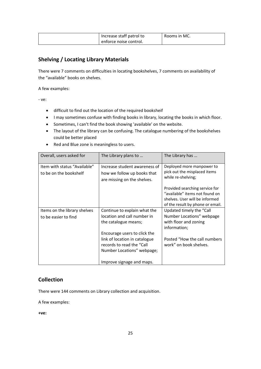| Increase staff patrol to | Rooms in MC. |
|--------------------------|--------------|
| enforce noise control.   |              |

# **Shelving / Locating Library Materials**

 There were 7 comments on difficulties in locating bookshelves, 7 comments on availability of the "available" books on shelves.

A few examples:

‐ ve:

- difficuit to find out the location of the required booksheif
- I may sometimes confuse with finding books in library, locating the books in which floor.
- Sometimes, I can't find the book showing 'available' on the website.
- The layout of the library can be confusing. The catalogue numbering of the bookshelves could be better placed
- Red and Blue zone is meaningless to users.

| Overall, users asked for                               | The Library plans to                                                                        | The Library has                                                                                                                        |
|--------------------------------------------------------|---------------------------------------------------------------------------------------------|----------------------------------------------------------------------------------------------------------------------------------------|
| Item with status "Available"<br>to be on the bookshelf | Increase student awareness of<br>how we follow up books that<br>are missing on the shelves. | Deployed more manpower to<br>pick out the misplaced items<br>while re-shelving;                                                        |
|                                                        |                                                                                             | Provided searching service for<br>"available" items not found on<br>shelves. User will be informed<br>of the result by phone or email. |
| Items on the library shelves                           | Continue to explain what the                                                                | Updated timely the "Call                                                                                                               |
| to be easier to find                                   | location and call number in<br>the catalogue means;                                         | Number Locations" webpage<br>with floor and zoning<br>information;                                                                     |
|                                                        | Encourage users to click the                                                                |                                                                                                                                        |
|                                                        | link of location in catalogue<br>records to read the "Call<br>Number Locations" webpage;    | Posted "How the call numbers"<br>work" on book shelves.                                                                                |
|                                                        | Improve signage and maps.                                                                   |                                                                                                                                        |

#### **Collection**

There were 144 comments on Library collection and acquisition.

A few examples:

 **+ve:**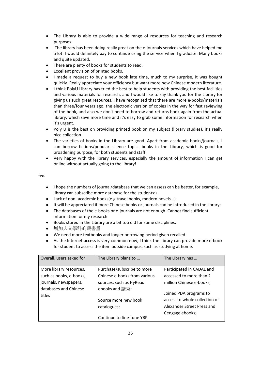- The Library is able to provide a wide range of resources for teaching and research purposes.
- The library has been doing really great on the e-journals services which have helped me a lot. I would definitely pay to continue using the service when I graduate. Many books and quite updated.
- There are plenty of books for students to read.
- Excellent provision of printed books.
- I made a request to buy a new book late time, much to my surprise, it was bought quickly. Really appreciate your efficiency but want more new Chinese modern literature.
- I think PolyU Library has tried the best to help students with providing the best facilities and various materials for research, and I would like to say thank you for the Library for giving us such great resources. I have recognized that there are more e‐books/materials than three/four years ago, the electronic version of copies in the way for fast reviewing of the book, and also we don't need to borrow and returns book again from the actual library, which save more time and it's easy to grab some information for research when it's urgent.
- Poly U is the best on providing printed book on my subject (library studies), it's really nice collection.
- The varieties of books in the Library are good. Apart from academic books/journals, I can borrow fictions/popular science topics books in the Library, which is good for broadening purpose, for both students and staff.
- Very happy with the library services, especially the amount of information I can get online without actually going to the library!

‐ve:

- I hope the numbers of journal/database that we can assess can be better, for example, library can subscribe more database for the students:).
- Lack of non- academic books(e.g travel books, modern novels...).
- It will be appreciated if more Chinese books or journals can be introduced in the library;
- The databases of the e-books or e-journals are not enough. Cannot find sufficient information for my research.
- Books stored in the Library are a bit too old for some disciplines.
- 增加人文學科的藏書量 .
- We need more textbooks and longer borrowing period given recalled.
- As the Internet access is very common now, I think the library can provide more e-book for student to access the item outside campus, such as studying at home.

| Overall, users asked for        | The Library plans to         | The Library has               |
|---------------------------------|------------------------------|-------------------------------|
| More library resources,         | Purchase/subscribe to more   | Participated in CADAL and     |
| such as books, e-books,         | Chinese e-books from various | accessed to more than 2       |
| journals, newspapers,           | sources, such as HyRead      | million Chinese e-books;      |
| databases and Chinese<br>titles | ebooks and 讀秀;               | Joined PDA programs to        |
|                                 | Source more new book         | access to whole collection of |
|                                 | catalogues;                  | Alexander Street Press and    |
|                                 |                              | Cengage ebooks;               |
|                                 | Continue to fine-tune YBP    |                               |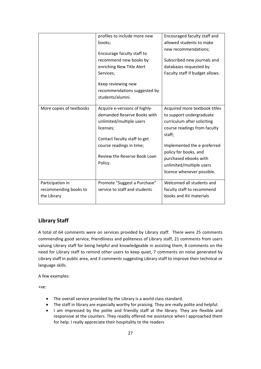|                          | profiles to include more new  | Encouraged faculty staff and    |
|--------------------------|-------------------------------|---------------------------------|
|                          | books;                        | allowed students to make        |
|                          |                               | new recommendations;            |
|                          | Encourage faculty staff to    |                                 |
|                          | recommend new books by        | Subscribed new journals and     |
|                          | enriching New Title Alert     | databases requested by          |
|                          | Services;                     | Faculty staff if budget allows. |
|                          | Keep reviewing new            |                                 |
|                          | recommendations suggested by  |                                 |
|                          | students/alumni.              |                                 |
|                          |                               |                                 |
| More copies of textbooks | Acquire e-versions of highly- | Acquired more textbook titles   |
|                          | demanded Reserve Books with   | to support undergraduate        |
|                          | unlimited/multiple users      | curriculum after soliciting     |
|                          | licenses;                     | course readings from faculty    |
|                          |                               | staff;                          |
|                          | Contact faculty staff to get  |                                 |
|                          | course readings in time;      | Implemented the e-preferred     |
|                          | Review the Reserve Book Loan  | policy for books, and           |
|                          |                               | purchased ebooks with           |
|                          | Policy.                       | unlimited/multiple users        |
|                          |                               | licence whenever possible.      |
| Participation in         | Promote "Suggest a Purchase"  | Welcomed all students and       |
| recommending books to    | service to staff and students | faculty staff to recommend      |
| the Library              |                               | books and AV materials          |
|                          |                               |                                 |

# **Library Staff**

 A total of 64 comments were on services provided by Library staff. There were 25 comments commending good service, friendliness and politeness of Library staff, 21 comments from users valuing Library staff for being helpful and knowledgeable in assisting them, 8 comments on the need for Library staff to remind other users to keep quiet, 7 comments on noise generated by Library staff in public area, and 3 comments suggesting Library staff to improve their technical or language skills.

A few examples:

+ve:

- The overall service provided by the Library is a world class standard.
- The staff in library are especially worthy for praising. They are really polite and helpful.
- I am impressed by the polite and friendly staff at the library. They are flexible and responsive at the counters. They readily offered me assistance when I approached them for help. I really appreciate their hospitality to the readers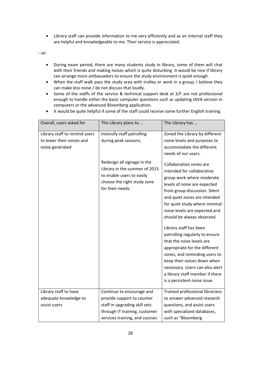Library staff can provide information to me very efficiently and as an internal staff they are helpful and knowledgeable to me. Their service is appreciated.

- During exam period, there are many students study in library, some of them will chat with their friends and making noises which is quite disturbing. It would be nice if library can arrange more ambassadors to ensure the study environment is quiet enough.
- When the staff walk pass the study area with trolley or work in a group, I believe they can make less noise / do not discuss that loudly.
- Some of the staffs of the service & technical support desk at 3/F are not professional enough to handle either the basic computer questions such as updating JAVA version in computers or the advanced Bloomberg application.
- It would be quite helpful if some of the staff could receive some further English training.

| Overall, users asked for                                                      | The Library plans to                                                                                                                         | The Library has                                                                                                                                                                                                                                                                                                                                                                                                                                                                                                                                                                     |
|-------------------------------------------------------------------------------|----------------------------------------------------------------------------------------------------------------------------------------------|-------------------------------------------------------------------------------------------------------------------------------------------------------------------------------------------------------------------------------------------------------------------------------------------------------------------------------------------------------------------------------------------------------------------------------------------------------------------------------------------------------------------------------------------------------------------------------------|
| Library staff to remind users<br>to lower their voices and<br>noise generated | Intensify staff patrolling<br>during peak seasons;                                                                                           | Zoned the Library by different<br>noise levels and purposes to<br>accommodate the different<br>needs of our users.                                                                                                                                                                                                                                                                                                                                                                                                                                                                  |
|                                                                               | Redesign all signage in the<br>Library in the summer of 2015<br>to enable users to easily<br>choose the right study zone<br>for their needs. | Collaboration zones are<br>intended for collaborative<br>group work where moderate<br>levels of noise are expected<br>from group discussion. Silent<br>and quiet zones are intended<br>for quiet study where minimal<br>noise levels are expected and<br>should be always observed.<br>Library staff has been<br>patrolling regularly to ensure<br>that the noise levels are<br>appropriate for the different<br>zones, and reminding users to<br>keep their voices down when<br>necessary. Users can also alert<br>a library staff member if there<br>is a persistent noise issue. |
| Library staff to have                                                         | Continue to encourage and                                                                                                                    | Trained professional librarians                                                                                                                                                                                                                                                                                                                                                                                                                                                                                                                                                     |
| adequate knowledge to                                                         | provide support to counter                                                                                                                   | to answer advanced research                                                                                                                                                                                                                                                                                                                                                                                                                                                                                                                                                         |
| assist users                                                                  | staff in upgrading skill sets                                                                                                                | questions, and assist users                                                                                                                                                                                                                                                                                                                                                                                                                                                                                                                                                         |
|                                                                               | through IT training, customer                                                                                                                | with specialized databases,                                                                                                                                                                                                                                                                                                                                                                                                                                                                                                                                                         |
|                                                                               | services training, and courses                                                                                                               | such as "Bloomberg                                                                                                                                                                                                                                                                                                                                                                                                                                                                                                                                                                  |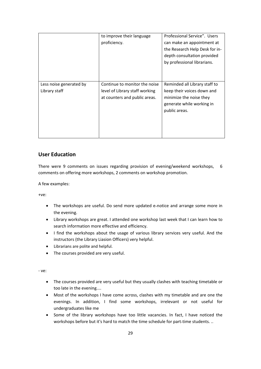|                                          | to improve their language<br>proficiency.                                                        | Professional Service". Users<br>can make an appointment at<br>the Research Help Desk for in-<br>depth consultation provided<br>by professional librarians. |
|------------------------------------------|--------------------------------------------------------------------------------------------------|------------------------------------------------------------------------------------------------------------------------------------------------------------|
| Less noise generated by<br>Library staff | Continue to monitor the noise<br>level of Library staff working<br>at counters and public areas. | Reminded all Library staff to<br>keep their voices down and<br>minimize the noise they<br>generate while working in<br>public areas.                       |

#### **User Education**

 There were 9 comments on issues regarding provision of evening/weekend workshops, 6comments on offering more workshops, 2 comments on workshop promotion.

A few examples:

+ve:

- The workshops are useful. Do send more updated e‐notice and arrange some more in the evening.
- Library workshops are great. I attended one workshop last week that I can learn how to search information more effective and efficiency.
- I find the workshops about the usage of various library services very useful. And the instructors (the Library Liasion Officers) very helpful.
- Librarians are polite and helpful.
- The courses provided are very useful.

- The courses provided are very useful but they usually clashes with teaching timetable or too late in the evening....
- Most of the workshops I have come across, clashes with my timetable and are one the evenings. In addition, I find some workshops, irrelevant or not useful for undergraduates like me
- Some of the library workshops have too little vacancies. In fact, I have noticed the workshops before but it's hard to match the time schedule for part‐time students. ..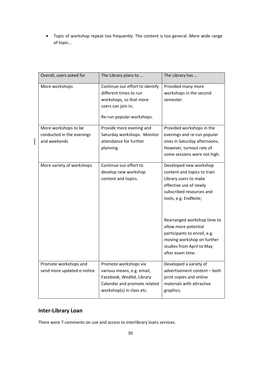Topic of workshop repeat too frequently. The content is too general. More wide range of topic…

| Overall, users asked for                                          | The Library plans to                                                                                                                         | The Library has                                                                                                                                                                                                                                     |
|-------------------------------------------------------------------|----------------------------------------------------------------------------------------------------------------------------------------------|-----------------------------------------------------------------------------------------------------------------------------------------------------------------------------------------------------------------------------------------------------|
| More workshops                                                    | Continue our effort to identify<br>different times to run<br>workshops, so that more<br>users can join in;<br>Re-run popular workshops.      | Provided many more<br>workshops in the second<br>semester.                                                                                                                                                                                          |
| More workshops to be<br>conducted in the evenings<br>and weekends | Provide more evening and<br>Saturday workshops. Monitor<br>attendance for further<br>planning.                                               | Provided workshops in the<br>evenings and re-run popular<br>ones in Saturday afternoons.<br>However, turnout rate of<br>some sessions were not high.                                                                                                |
| More variety of workshops                                         | Continue our effort to<br>develop new workshop<br>content and topics.                                                                        | Developed new workshop<br>content and topics to train<br>Library users to make<br>effective use of newly<br>subscribed resources and<br>tools, e.g. EndNote;<br>Rearranged workshop time to<br>allow more potential<br>participants to enroll, e.g. |
|                                                                   |                                                                                                                                              | moving workshop on further<br>studies from April to May<br>after exam time.                                                                                                                                                                         |
| Promote workshops and<br>send more updated e-notice               | Promote workshops via<br>various means, e.g. email,<br>Facebook, WedAd, Library<br>Calendar and promote related<br>workshop(s) in class etc. | Developed a variety of<br>advertisement content - both<br>print copies and online<br>materials with attractive<br>graphics.                                                                                                                         |

# **Inter‐Library Loan**

 $\overline{\phantom{a}}$ 

There were 7 comments on use and access to interlibrary loans services.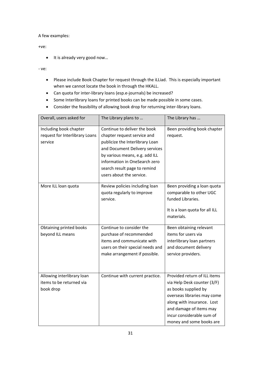#### A few examples:

#### +ve:

• It is already very good now...

- Please include Book Chapter for request through the iLLiad. This is especially important when we cannot locate the book in through the HKALL.
- Can quota for inter-library loans (esp.e-journals) be increased?
- Some Interlibrary loans for printed books can be made possible in some cases.
- Consider the feasibility of allowing book drop for returning inter-library loans.

| Overall, users asked for                                            | The Library plans to                                                                                                                                                                                                                                            | The Library has                                                                                                                                                                                                                      |
|---------------------------------------------------------------------|-----------------------------------------------------------------------------------------------------------------------------------------------------------------------------------------------------------------------------------------------------------------|--------------------------------------------------------------------------------------------------------------------------------------------------------------------------------------------------------------------------------------|
| Including book chapter<br>request for Interlibrary Loans<br>service | Continue to deliver the book<br>chapter request service and<br>publicize the Interlibrary Loan<br>and Document Delivery services<br>by various means, e.g. add ILL<br>information in OneSearch zero<br>search result page to remind<br>users about the service. | Been providing book chapter<br>request.                                                                                                                                                                                              |
| More ILL loan quota                                                 | Review policies including loan<br>quota regularly to improve<br>service.                                                                                                                                                                                        | Been providing a loan quota<br>comparable to other UGC<br>funded Libraries.<br>It is a loan quota for all ILL<br>materials.                                                                                                          |
| Obtaining printed books<br>beyond ILL means                         | Continue to consider the<br>purchase of recommended<br>items and communicate with<br>users on their special needs and<br>make arrangement if possible.                                                                                                          | Been obtaining relevant<br>items for users via<br>interlibrary loan partners<br>and document delivery<br>service providers.                                                                                                          |
| Allowing interlibrary loan<br>items to be returned via<br>book drop | Continue with current practice.                                                                                                                                                                                                                                 | Provided return of ILL items<br>via Help Desk counter (3/F)<br>as books supplied by<br>overseas libraries may come<br>along with insurance. Lost<br>and damage of items may<br>incur considerable sum of<br>money and some books are |